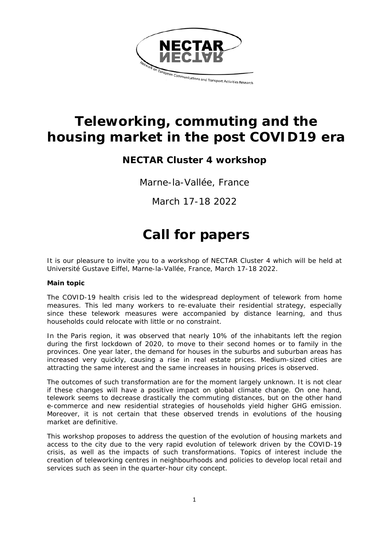

# **Teleworking, commuting and the housing market in the post COVID19 era**

# **NECTAR Cluster 4 workshop**

Marne-la-Vallée, France

March 17-18 2022

# **Call for papers**

It is our pleasure to invite you to a workshop of NECTAR Cluster 4 which will be held at Université Gustave Eiffel, Marne-la-Vallée, France, March 17-18 2022.

# **Main topic**

The COVID-19 health crisis led to the widespread deployment of telework from home measures. This led many workers to re-evaluate their residential strategy, especially since these telework measures were accompanied by distance learning, and thus households could relocate with little or no constraint.

In the Paris region, it was observed that nearly 10% of the inhabitants left the region during the first lockdown of 2020, to move to their second homes or to family in the provinces. One year later, the demand for houses in the suburbs and suburban areas has increased very quickly, causing a rise in real estate prices. Medium-sized cities are attracting the same interest and the same increases in housing prices is observed.

The outcomes of such transformation are for the moment largely unknown. It is not clear if these changes will have a positive impact on global climate change. On one hand, telework seems to decrease drastically the commuting distances, but on the other hand e-commerce and new residential strategies of households yield higher GHG emission. Moreover, it is not certain that these observed trends in evolutions of the housing market are definitive.

This workshop proposes to address the question of the evolution of housing markets and access to the city due to the very rapid evolution of telework driven by the COVID-19 crisis, as well as the impacts of such transformations. Topics of interest include the creation of teleworking centres in neighbourhoods and policies to develop local retail and services such as seen in the quarter-hour city concept.